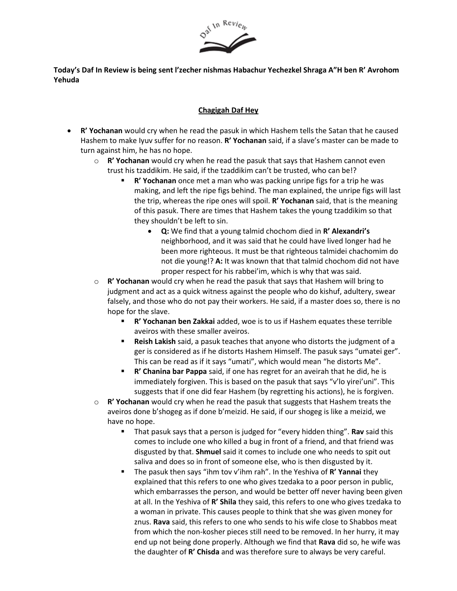

**Today's Daf In Review is being sent l'zecher nishmas Habachur Yechezkel Shraga A"H ben R' Avrohom Yehuda**

## **Chagigah Daf Hey**

- **R' Yochanan** would cry when he read the pasuk in which Hashem tells the Satan that he caused Hashem to make Iyuv suffer for no reason. **R' Yochanan** said, if a slave's master can be made to turn against him, he has no hope.
	- o **R' Yochanan** would cry when he read the pasuk that says that Hashem cannot even trust his tzaddikim. He said, if the tzaddikim can't be trusted, who can be!?
		- **R' Yochanan** once met a man who was packing unripe figs for a trip he was making, and left the ripe figs behind. The man explained, the unripe figs will last the trip, whereas the ripe ones will spoil. **R' Yochanan** said, that is the meaning of this pasuk. There are times that Hashem takes the young tzaddikim so that they shouldn't be left to sin.
			- **Q:** We find that a young talmid chochom died in **R' Alexandri's** neighborhood, and it was said that he could have lived longer had he been more righteous. It must be that righteous talmidei chachomim do not die young!? **A:** It was known that that talmid chochom did not have proper respect for his rabbei'im, which is why that was said.
	- o **R' Yochanan** would cry when he read the pasuk that says that Hashem will bring to judgment and act as a quick witness against the people who do kishuf, adultery, swear falsely, and those who do not pay their workers. He said, if a master does so, there is no hope for the slave.
		- R' Yochanan ben Zakkai added, woe is to us if Hashem equates these terrible aveiros with these smaller aveiros.
		- **Reish Lakish** said, a pasuk teaches that anyone who distorts the judgment of a ger is considered as if he distorts Hashem Himself. The pasuk says "umatei ger". This can be read as if it says "umati", which would mean "he distorts Me".
		- **R' Chanina bar Pappa** said, if one has regret for an aveirah that he did, he is immediately forgiven. This is based on the pasuk that says "v'lo yirei'uni". This suggests that if one did fear Hashem (by regretting his actions), he is forgiven.
	- o **R' Yochanan** would cry when he read the pasuk that suggests that Hashem treats the aveiros done b'shogeg as if done b'meizid. He said, if our shogeg is like a meizid, we have no hope.
		- That pasuk says that a person is judged for "every hidden thing". Rav said this comes to include one who killed a bug in front of a friend, and that friend was disgusted by that. **Shmuel** said it comes to include one who needs to spit out saliva and does so in front of someone else, who is then disgusted by it.
		- The pasuk then says "ihm tov v'ihm rah". In the Yeshiva of R' Yannai they explained that this refers to one who gives tzedaka to a poor person in public, which embarrasses the person, and would be better off never having been given at all. In the Yeshiva of **R' Shila** they said, this refers to one who gives tzedaka to a woman in private. This causes people to think that she was given money for znus. **Rava** said, this refers to one who sends to his wife close to Shabbos meat from which the non-kosher pieces still need to be removed. In her hurry, it may end up not being done properly. Although we find that **Rava** did so, he wife was the daughter of **R' Chisda** and was therefore sure to always be very careful.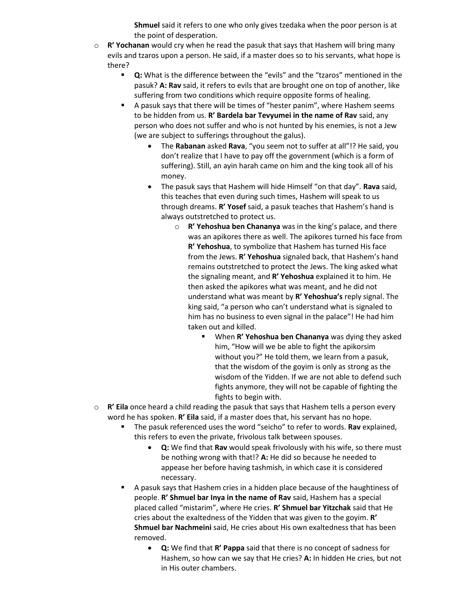**Shmuel** said it refers to one who only gives tzedaka when the poor person is at the point of desperation.

- o **R' Yochanan** would cry when he read the pasuk that says that Hashem will bring many evils and tzaros upon a person. He said, if a master does so to his servants, what hope is there?
	- **Q:** What is the difference between the "evils" and the "tzaros" mentioned in the pasuk? **A: Rav** said, it refers to evils that are brought one on top of another, like suffering from two conditions which require opposite forms of healing.
	- A pasuk says that there will be times of "hester panim", where Hashem seems to be hidden from us. **R' Bardela bar Tevyumei in the name of Rav** said, any person who does not suffer and who is not hunted by his enemies, is not a Jew (we are subject to sufferings throughout the galus).
		- The **Rabanan** asked **Rava**, "you seem not to suffer at all"!? He said, you don't realize that I have to pay off the government (which is a form of suffering). Still, an ayin harah came on him and the king took all of his money.
		- The pasuk says that Hashem will hide Himself "on that day". **Rava** said, this teaches that even during such times, Hashem will speak to us through dreams. **R' Yosef** said, a pasuk teaches that Hashem's hand is always outstretched to protect us.
			- o **R' Yehoshua ben Chananya** was in the king's palace, and there was an apikores there as well. The apikores turned his face from **R' Yehoshua**, to symbolize that Hashem has turned His face from the Jews. **R' Yehoshua** signaled back, that Hashem's hand remains outstretched to protect the Jews. The king asked what the signaling meant, and **R' Yehoshua** explained it to him. He then asked the apikores what was meant, and he did not understand what was meant by **R' Yehoshua's** reply signal. The king said, "a person who can't understand what is signaled to him has no business to even signal in the palace"! He had him taken out and killed.
				- When **R' Yehoshua ben Chananya** was dying they asked him, "How will we be able to fight the apikorsim without you?" He told them, we learn from a pasuk, that the wisdom of the goyim is only as strong as the wisdom of the Yidden. If we are not able to defend such fights anymore, they will not be capable of fighting the fights to begin with.
- o **R' Eila** once heard a child reading the pasuk that says that Hashem tells a person every word he has spoken. **R' Eila** said, if a master does that, his servant has no hope.
	- The pasuk referenced uses the word "seicho" to refer to words. **Rav** explained, this refers to even the private, frivolous talk between spouses.
		- **Q:** We find that **Rav** would speak frivolously with his wife, so there must be nothing wrong with that!? **A:** He did so because he needed to appease her before having tashmish, in which case it is considered necessary.
	- A pasuk says that Hashem cries in a hidden place because of the haughtiness of people. **R' Shmuel bar Inya in the name of Rav** said, Hashem has a special placed called "mistarim", where He cries. **R' Shmuel bar Yitzchak** said that He cries about the exaltedness of the Yidden that was given to the goyim. **R' Shmuel bar Nachmeini** said, He cries about His own exaltedness that has been removed.
		- **Q:** We find that **R' Pappa** said that there is no concept of sadness for Hashem, so how can we say that He cries? **A:** In hidden He cries, but not in His outer chambers.